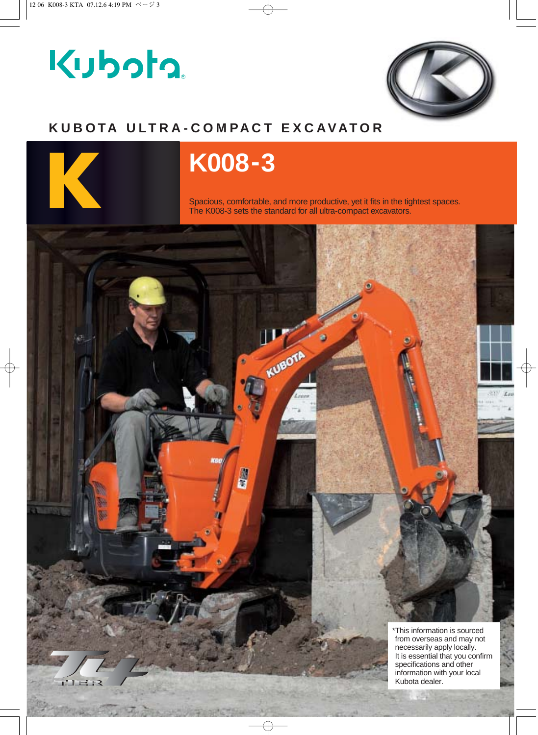# Kubota.



### **KUBOTA ULTRA-COMPACT EXCAVATOR**



## **K K008-3**

Spacious, comfortable, and more productive, yet it fits in the tightest spaces. The K008-3 sets the standard for all ultra-compact excavators.

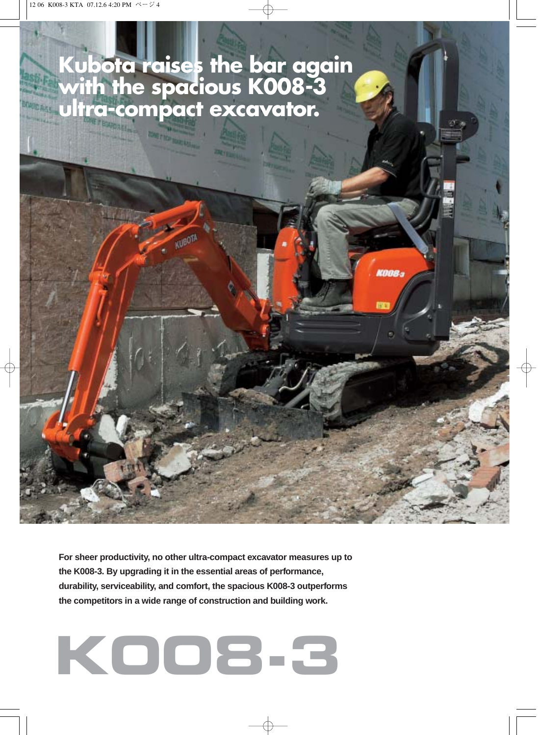## **Kubota raises the bar again with the spacious K008-3 ultra-compact excavator.**

**For sheer productivity, no other ultra-compact excavator measures up to the K008-3. By upgrading it in the essential areas of performance, durability, serviceability, and comfort, the spacious K008-3 outperforms the competitors in a wide range of construction and building work.** 

# **K008-3**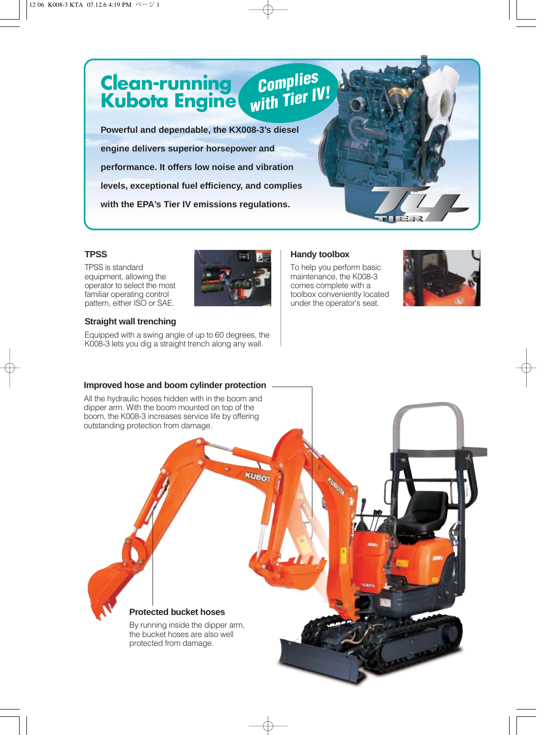**Powerful and dependable, the KX008-3's diesel engine delivers superior horsepower and performance. It offers low noise and vibration levels, exceptional fuel efficiency, and complies with the EPA's Tier IV emissions regulations.**

**Clean-running**

**Kubota Engine**



*Complies* 

*with Tier IV!*

To help you perform basic maintenance, the K008-3 comes complete with a toolbox conveniently located under the operator's seat.



#### **TPSS**

TPSS is standard equipment, allowing the operator to select the most familiar operating control pattern, either ISO or SAE.

#### **Straight wall trenching**

Equipped with a swing angle of up to 60 degrees, the K008-3 lets you dig a straight trench along any wall.

#### **Improved hose and boom cylinder protection**

All the hydraulic hoses hidden with in the boom and dipper arm. With the boom mounted on top of the boom, the K008-3 increases service life by offering outstanding protection from damage.

**KUBO** 

**Protected bucket hoses**

By running inside the dipper arm, the bucket hoses are also well protected from damage.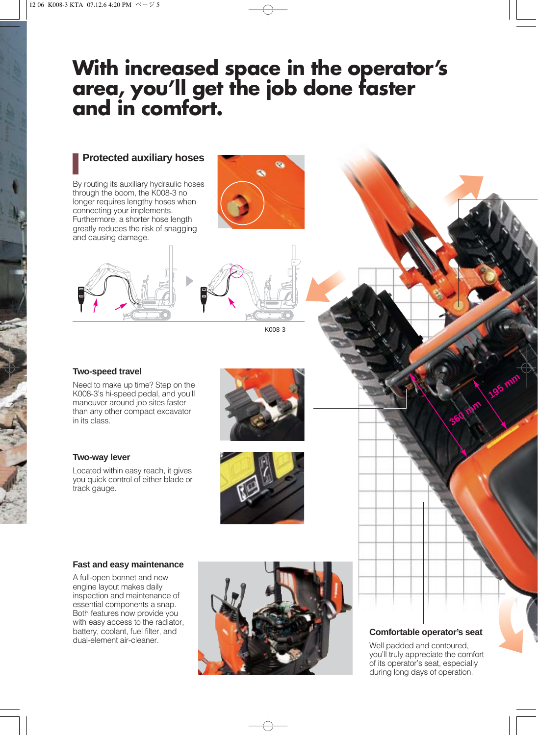## **With increased space in the operator's area, you'll get the job done faster and in comfort.**

#### **Protected auxiliary hoses**

By routing its auxiliary hydraulic hoses through the boom, the K008-3 no longer requires lengthy hoses when connecting your implements. Furthermore, a shorter hose length greatly reduces the risk of snagging and causing damage.





K008-3

#### **Two-speed travel**

Need to make up time? Step on the K008-3's hi-speed pedal, and you'll maneuver around job sites faster than any other compact excavator in its class.

#### **Two-way lever**

Located within easy reach, it gives you quick control of either blade or track gauge.

#### **Fast and easy maintenance**

A full-open bonnet and new engine layout makes daily inspection and maintenance of essential components a snap. Both features now provide you with easy access to the radiator, battery, coolant, fuel filter, and dual-element air-cleaner.



#### **Comfortable operator's seat**

**195 M** 

**360 mm**

Well padded and contoured, you'll truly appreciate the comfort of its operator's seat, especially during long days of operation.

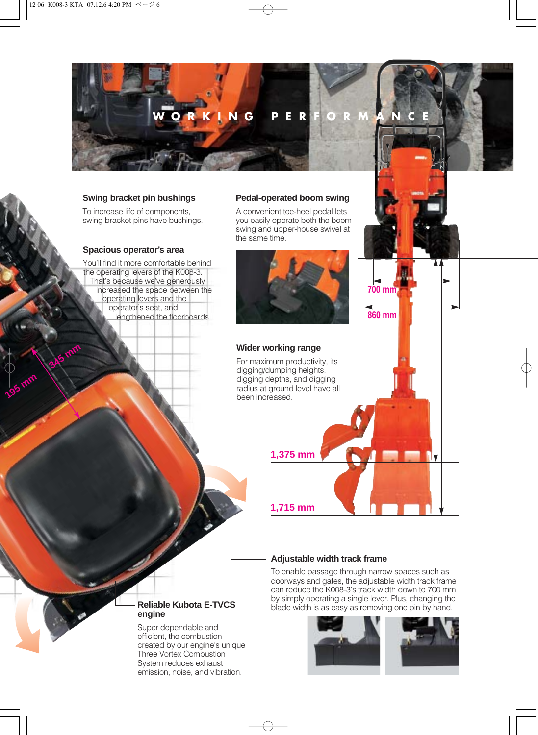

#### **Swing bracket pin bushings**

To increase life of components, swing bracket pins have bushings.

#### **Spacious operator's area**

**345 mm**

**195 mm**

You'll find it more comfortable behind the operating levers of the K008-3. That's because we've generously increased the space between the operating levers and the operator's seat, and lengthened the floorboards.

#### **Pedal-operated boom swing**

A convenient toe-heel pedal lets you easily operate both the boom swing and upper-house swivel at the same time.



#### **Wider working range**

For maximum productivity, its digging/dumping heights, digging depths, and digging radius at ground level have all been increased.

**1,375 mm**

**1,715 mm**

#### **Adjustable width track frame**

To enable passage through narrow spaces such as doorways and gates, the adjustable width track frame can reduce the K008-3's track width down to 700 mm by simply operating a single lever. Plus, changing the blade width is as easy as removing one pin by hand.



**860 mm**

**700 mm**

#### **Reliable Kubota E-TVCS engine**

Super dependable and efficient, the combustion created by our engine's unique Three Vortex Combustion System reduces exhaust emission, noise, and vibration.